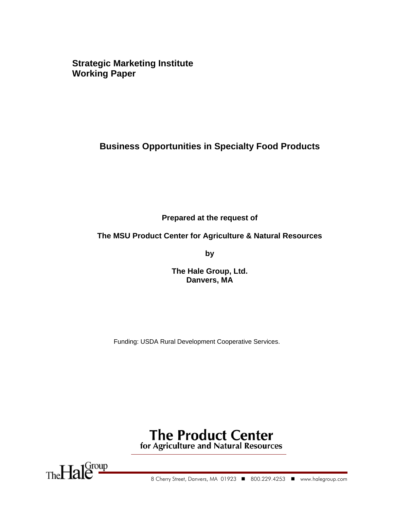**Strategic Marketing Institute Working Paper** 

## **Business Opportunities in Specialty Food Products**

**Prepared at the request of** 

### **The MSU Product Center for Agriculture & Natural Resources**

**by** 

**The Hale Group, Ltd. Danvers, MA** 

Funding: USDA Rural Development Cooperative Services.

# **The Product Center** for Agriculture and Natural Resources

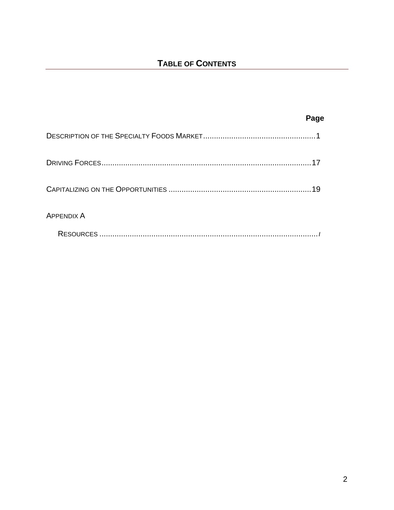|                   | Page |
|-------------------|------|
|                   |      |
|                   |      |
|                   | 19   |
| <b>APPENDIX A</b> |      |
|                   |      |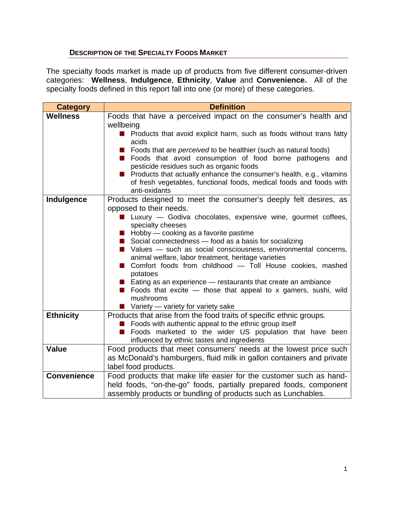### **DESCRIPTION OF THE SPECIALTY FOODS MARKET**

The specialty foods market is made up of products from five different consumer-driven categories: **Wellness**, **Indulgence**, **Ethnicity**, **Value** and **Convenience.** All of the specialty foods defined in this report fall into one (or more) of these categories.

| <b>Category</b>    | <b>Definition</b>                                                                                                                                                                                                                                                                                                                                                                                                                                                                                                                                                                                                                                                               |  |  |  |  |
|--------------------|---------------------------------------------------------------------------------------------------------------------------------------------------------------------------------------------------------------------------------------------------------------------------------------------------------------------------------------------------------------------------------------------------------------------------------------------------------------------------------------------------------------------------------------------------------------------------------------------------------------------------------------------------------------------------------|--|--|--|--|
| <b>Wellness</b>    | Foods that have a perceived impact on the consumer's health and<br>wellbeing<br>Products that avoid explicit harm, such as foods without trans fatty<br>acids<br>Foods that are perceived to be healthier (such as natural foods)<br>Foods that avoid consumption of food borne pathogens and<br>pesticide residues such as organic foods<br>Products that actually enhance the consumer's health, e.g., vitamins<br>of fresh vegetables, functional foods, medical foods and foods with<br>anti-oxidants                                                                                                                                                                       |  |  |  |  |
| Indulgence         | Products designed to meet the consumer's deeply felt desires, as<br>opposed to their needs.<br>Luxury - Godiva chocolates, expensive wine, gourmet coffees,<br>specialty cheeses<br>Hobby - cooking as a favorite pastime<br>Social connectedness - food as a basis for socializing<br>Values - such as social consciousness, environmental concerns,<br>animal welfare, labor treatment, heritage varieties<br>Comfort foods from childhood - Toll House cookies, mashed<br>potatoes<br>Eating as an experience $-$ restaurants that create an ambiance<br>Foods that excite $-$ those that appeal to x gamers, sushi, wild<br>mushrooms<br>Variety — variety for variety sake |  |  |  |  |
| <b>Ethnicity</b>   | Products that arise from the food traits of specific ethnic groups.<br>Foods with authentic appeal to the ethnic group itself<br>Foods marketed to the wider US population that have been<br>influenced by ethnic tastes and ingredients                                                                                                                                                                                                                                                                                                                                                                                                                                        |  |  |  |  |
| <b>Value</b>       | Food products that meet consumers' needs at the lowest price such<br>as McDonald's hamburgers, fluid milk in gallon containers and private<br>label food products.                                                                                                                                                                                                                                                                                                                                                                                                                                                                                                              |  |  |  |  |
| <b>Convenience</b> | Food products that make life easier for the customer such as hand-<br>held foods, "on-the-go" foods, partially prepared foods, component<br>assembly products or bundling of products such as Lunchables.                                                                                                                                                                                                                                                                                                                                                                                                                                                                       |  |  |  |  |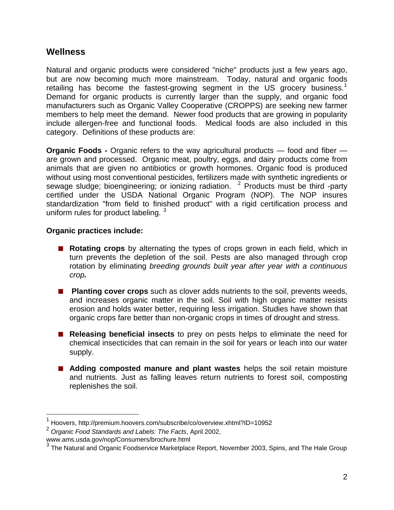## **Wellness**

Natural and organic products were considered "niche" products just a few years ago, but are now becoming much more mainstream. Today, natural and organic foods retailing has become the fastest-growing segment in the US grocery business.<sup>[1](#page-3-0)</sup> Demand for organic products is currently larger than the supply, and organic food manufacturers such as Organic Valley Cooperative (CROPPS) are seeking new farmer members to help meet the demand. Newer food products that are growing in popularity include allergen-free and functional foods. Medical foods are also included in this category. Definitions of these products are:

**Organic Foods -** Organic refers to the way agricultural products — food and fiber are grown and processed. Organic meat, poultry, eggs, and dairy products come from animals that are given no antibiotics or growth hormones. Organic food is produced without using most conventional pesticides, fertilizers made with synthetic ingredients or sewage sludge; bioengineering; or ionizing radiation.  $2$  Products must be third -party certified under the USDA National Organic Program (NOP). The NOP insures standardization "from field to finished product" with a rigid certification process and uniform rules for product labeling.  $3\overline{)}$  $3\overline{)}$ 

### **Organic practices include:**

- **Rotating crops** by alternating the types of crops grown in each field, which in turn prevents the depletion of the soil. Pests are also managed through crop rotation by eliminating *breeding grounds built year after year with a continuous crop.*
- **Planting cover crops** such as clover adds nutrients to the soil, prevents weeds, and increases organic matter in the soil. Soil with high organic matter resists erosion and holds water better, requiring less irrigation. Studies have shown that organic crops fare better than non-organic crops in times of drought and stress.
- **Releasing beneficial insects** to prey on pests helps to eliminate the need for chemical insecticides that can remain in the soil for years or leach into our water supply.
- **Adding composted manure and plant wastes** helps the soil retain moisture and nutrients. Just as falling leaves return nutrients to forest soil, composting replenishes the soil.

<span id="page-3-0"></span><sup>&</sup>lt;sup>1</sup> Hoovers, http://premium.hoovers.com/subscribe/co/overview.xhtml?ID=10952

<span id="page-3-1"></span><sup>2</sup> *Organic Food Standards and Labels: The Facts*, April 2002,

www.ams.usda.gov/nop/Consumers/brochure.html

<span id="page-3-2"></span><sup>&</sup>lt;sup>3</sup> The Natural and Organic Foodservice Marketplace Report, November 2003, Spins, and The Hale Group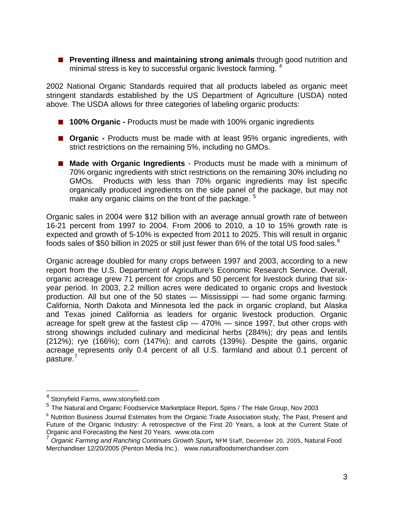**Preventing illness and maintaining strong animals** through good nutrition and minimal stress is key to successful organic livestock farming. <sup>[4](#page-4-0)</sup>

2002 National Organic Standards required that all products labeled as organic meet stringent standards established by the US Department of Agriculture (USDA) noted above. The USDA allows for three categories of labeling organic products:

- **100% Organic Products must be made with 100% organic ingredients**
- **Organic -** Products must be made with at least 95% organic ingredients, with strict restrictions on the remaining 5%, including no GMOs.
- Made with Organic Ingredients Products must be made with a minimum of 70% organic ingredients with strict restrictions on the remaining 30% including no GMOs. Products with less than 70% organic ingredients may list specific organically produced ingredients on the side panel of the package, but may not make any organic claims on the front of the package.  $5$

Organic sales in 2004 were \$12 billion with an average annual growth rate of between 16-21 percent from 1997 to 2004. From 2006 to 2010, a 10 to 15% growth rate is expected and growth of 5-10% is expected from 2011 to 2025. This will result in organic foods sales of \$50 billion in 2025 or still just fewer than [6](#page-4-2)% of the total US food sales.<sup>6</sup>

Organic acreage doubled for many crops between 1997 and 2003, according to a new report from the U.S. Department of Agriculture's Economic Research Service. Overall, organic acreage grew 71 percent for crops and 50 percent for livestock during that sixyear period. In 2003, 2.2 million acres were dedicated to organic crops and livestock production. All but one of the 50 states — Mississippi — had some organic farming. California, North Dakota and Minnesota led the pack in organic cropland, but Alaska and Texas joined California as leaders for organic livestock production. Organic acreage for spelt grew at the fastest clip — 470% — since 1997, but other crops with strong showings included culinary and medicinal herbs (284%); dry peas and lentils (212%); rye (166%); corn (147%); and carrots (139%). Despite the gains, organic acreage represents only 0.4 percent of all U.S. farmland and about 0.1 percent of pasture.<sup>[7](#page-4-3)</sup>

 4 Stonyfield Farms, www.stonyfield.com

<span id="page-4-1"></span><span id="page-4-0"></span><sup>5</sup> The Natural and Organic Foodservice Marketplace Report, Spins / The Hale Group, Nov 2003

<span id="page-4-2"></span><sup>&</sup>lt;sup>6</sup> Nutrition Business Journal Estimates from the Organic Trade Association study, The Past, Present and Future of the Organic Industry: A retrospective of the First 20 Years, a look at the Current State of Organic and Forecasting the Nest 20 Years. www.ota.com

<span id="page-4-3"></span><sup>7</sup> *Organic Farming and Ranching Continues Growth Spurt***,** NFM Staff, December 20, 2005, Natural Food Merchandiser 12/20/2005 (Penton Media Inc.). www.naturalfoodsmerchandiser.com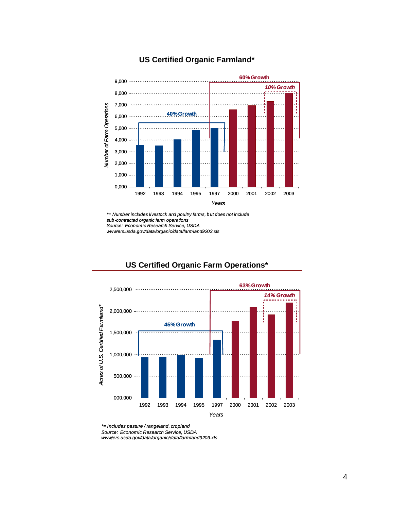

### **US Certified Organic Farmland\***

*\*= Number includes livestock and poultry farms, but does not include sub-contracted organic farm operations Source: Economic Research Service, USDA www/ers.usda.gov/data/organic/data/farmland9203.xls*



### **US Certified Organic Farm Operations\***

*\*= Includes pasture / rangeland, cropland*

*Source: Economic Research Service, USDA* 

*www/ers.usda.gov/data/organic/data/farmland9203.xls*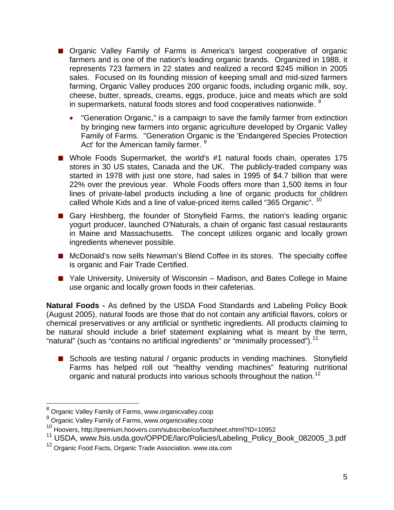- Organic Valley Family of Farms is America's largest cooperative of organic farmers and is one of the nation's leading organic brands. Organized in 1988, it represents 723 farmers in 22 states and realized a record \$245 million in 2005 sales. Focused on its founding mission of keeping small and mid-sized farmers farming, Organic Valley produces 200 organic foods, including organic milk, soy, cheese, butter, spreads, creams, eggs, produce, juice and meats which are sold in supermarkets, natural foods stores and food cooperatives nationwide. <sup>[8](#page-6-0)</sup>
	- "Generation Organic," is a campaign to save the family farmer from extinction by bringing new farmers into organic agriculture developed by Organic Valley Family of Farms. "Generation Organic is the 'Endangered Species Protection Act' for the American family farmer. <sup>[9](#page-6-1)</sup>
- Whole Foods Supermarket, the world's #1 natural foods chain, operates 175 stores in 30 US states, Canada and the UK. The publicly-traded company was started in 1978 with just one store, had sales in 1995 of \$4.7 billion that were 22% over the previous year. Whole Foods offers more than 1,500 items in four lines of private-label products including a line of organic products for children called Whole Kids and a line of value-priced items called "365 Organic". <sup>[10](#page-6-2)</sup>
- Gary Hirshberg, the founder of Stonyfield Farms, the nation's leading organic yogurt producer, launched O'Naturals, a chain of organic fast casual restaurants in Maine and Massachusetts. The concept utilizes organic and locally grown ingredients whenever possible.
- McDonald's now sells Newman's Blend Coffee in its stores. The specialty coffee is organic and Fair Trade Certified.
- Yale University, University of Wisconsin Madison, and Bates College in Maine use organic and locally grown foods in their cafeterias.

**Natural Foods -** As defined by the USDA Food Standards and Labeling Policy Book (August 2005), natural foods are those that do not contain any artificial flavors, colors or chemical preservatives or any artificial or synthetic ingredients. All products claiming to be natural should include a brief statement explaining what is meant by the term, "natural" (such as "contains no artificial ingredients" or "minimally processed").<sup>[11](#page-6-3)</sup>

■ Schools are testing natural / organic products in vending machines. Stonyfield Farms has helped roll out "healthy vending machines" featuring nutritional organic and natural products into various schools throughout the nation.<sup>[12](#page-6-4)</sup>

<span id="page-6-0"></span> 8 Organic Valley Family of Farms, www.organicvalley.coop

<sup>9</sup> Organic Valley Family of Farms, www.organicvalley.coop

<span id="page-6-2"></span><span id="page-6-1"></span><sup>10</sup> Hoovers, http://premium.hoovers.com/subscribe/co/factsheet.xhtml?ID=10952

<span id="page-6-3"></span><sup>&</sup>lt;sup>11</sup> USDA, www.fsis.usda.gov/OPPDE/larc/Policies/Labeling\_Policy\_Book\_082005\_3.pdf

<span id="page-6-4"></span><sup>&</sup>lt;sup>12</sup> Organic Food Facts, Organic Trade Association, www.ota.com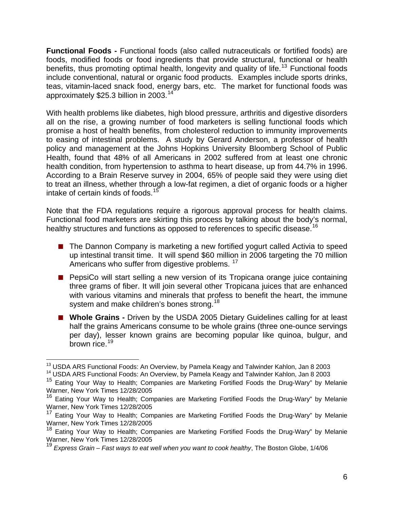**Functional Foods -** Functional foods (also called nutraceuticals or fortified foods) are foods, modified foods or food ingredients that provide structural, functional or health benefits, thus promoting optimal health, longevity and quality of life.<sup>[13](#page-7-0)</sup> Functional foods include conventional, natural or organic food products. Examples include sports drinks, teas, vitamin-laced snack food, energy bars, etc. The market for functional foods was approximately \$25.3 billion in 2003.<sup>[14](#page-7-1)</sup>

With health problems like diabetes, high blood pressure, arthritis and digestive disorders all on the rise, a growing number of food marketers is selling functional foods which promise a host of health benefits, from cholesterol reduction to immunity improvements to easing of intestinal problems. A study by Gerard Anderson, a professor of health policy and management at the Johns Hopkins University Bloomberg School of Public Health, found that 48% of all Americans in 2002 suffered from at least one chronic health condition, from hypertension to asthma to heart disease, up from 44.7% in 1996. According to a Brain Reserve survey in 2004, 65% of people said they were using diet to treat an illness, whether through a low-fat regimen, a diet of organic foods or a higher intake of certain kinds of foods.<sup>[15](#page-7-2)</sup>

Note that the FDA regulations require a rigorous approval process for health claims. Functional food marketers are skirting this process by talking about the body's normal, healthy structures and functions as opposed to references to specific disease.<sup>[16](#page-7-3)</sup>

- The Dannon Company is marketing a new fortified yogurt called Activia to speed up intestinal transit time. It will spend \$60 million in 2006 targeting the 70 million Americans who suffer from digestive problems. <sup>[17](#page-7-4)</sup>
- **PepsiCo will start selling a new version of its Tropicana orange juice containing** three grams of fiber. It will join several other Tropicana juices that are enhanced with various vitamins and minerals that profess to benefit the heart, the immune system and make children's bones strong.<sup>[18](#page-7-5)</sup>
- Whole Grains Driven by the USDA 2005 Dietary Guidelines calling for at least half the grains Americans consume to be whole grains (three one-ounce servings per day), lesser known grains are becoming popular like quinoa, bulgur, and brown rice.<sup>[19](#page-7-6)</sup>

 $\overline{a}$ 

<span id="page-7-1"></span><span id="page-7-0"></span><sup>&</sup>lt;sup>13</sup> USDA ARS Functional Foods: An Overview, by Pamela Keagy and Talwinder Kahlon, Jan 8 2003<br><sup>14</sup> USDA ARS Functional Foods: An Overview, by Pamela Keagy and Talwinder Kahlon, Jan 8 2003<br><sup>15</sup> Eating Your Wav to Health: Co

<span id="page-7-2"></span>Warner, New York Times 12/28/2005

<span id="page-7-3"></span><sup>&</sup>lt;sup>16</sup> Eating Your Way to Health; Companies are Marketing Fortified Foods the Drug-Wary" by Melanie Warner, New York Times 12/28/2005

<span id="page-7-4"></span><sup>&</sup>lt;sup>17</sup> Eating Your Way to Health; Companies are Marketing Fortified Foods the Drug-Wary" by Melanie Warner, New York Times 12/28/2005

<span id="page-7-5"></span><sup>18</sup> Eating Your Way to Health; Companies are Marketing Fortified Foods the Drug-Wary" by Melanie Warner, New York Times 12/28/2005

<span id="page-7-6"></span><sup>19</sup> *Express Grain – Fast ways to eat well when you want to cook healthy*, The Boston Globe, 1/4/06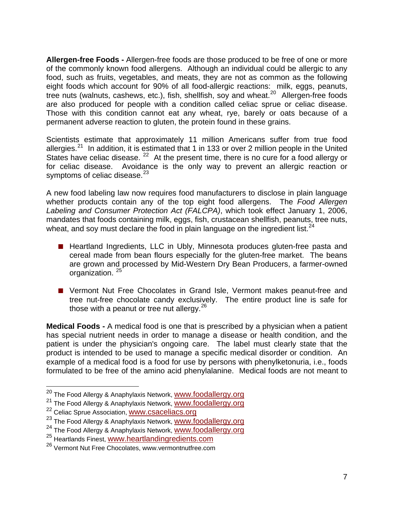**Allergen-free Foods -** Allergen-free foods are those produced to be free of one or more of the commonly known food allergens. Although an individual could be allergic to any food, such as fruits, vegetables, and meats, they are not as common as the following eight foods which account for 90% of all food-allergic reactions: milk, eggs, peanuts, tree nuts (walnuts, cashews, etc.), fish, shellfish, soy and wheat.<sup>[20](#page-8-0)</sup> Allergen-free foods are also produced for people with a condition called celiac sprue or celiac disease. Those with this condition cannot eat any wheat, rye, barely or oats because of a permanent adverse reaction to gluten, the protein found in these grains.

Scientists estimate that approximately 11 million Americans suffer from true food allergies.<sup>[21](#page-8-1)</sup> In addition, it is estimated that 1 in 133 or over 2 million people in the United States have celiac disease. <sup>[22](#page-8-2)</sup> At the present time, there is no cure for a food allergy or for celiac disease. Avoidance is the only way to prevent an allergic reaction or symptoms of celiac disease.<sup>[23](#page-8-3)</sup>

A new food labeling law now requires food manufacturers to disclose in plain language whether products contain any of the top eight food allergens. The *Food Allergen Labeling and Consumer Protection Act (FALCPA)*, which took effect January 1, 2006, mandates that foods containing milk, eggs, fish, crustacean shellfish, peanuts, tree nuts, wheat, and soy must declare the food in plain language on the ingredient list. $^{24}$  $^{24}$  $^{24}$ 

- Heartland Ingredients, LLC in Ubly, Minnesota produces gluten-free pasta and cereal made from bean flours especially for the gluten-free market. The beans are grown and processed by Mid-Western Dry Bean Producers, a farmer-owned organization.<sup>[25](#page-8-5)</sup>
- Vermont Nut Free Chocolates in Grand Isle, Vermont makes peanut-free and tree nut-free chocolate candy exclusively. The entire product line is safe for those with a peanut or tree nut allergy. $26$

**Medical Foods -** A medical food is one that is prescribed by a physician when a patient has special nutrient needs in order to manage a disease or health condition, and the patient is under the physician's ongoing care. The label must clearly state that the product is intended to be used to manage a specific medical disorder or condition. An example of a medical food is a food for use by persons with phenylketonuria, i.e., foods formulated to be free of the amino acid phenylalanine. Medical foods are not meant to

<sup>&</sup>lt;sup>20</sup> The Food Allergy & Anaphylaxis Network, <u>[www.foodallergy.org](http://www.foodallergy.org/)</u>

<span id="page-8-1"></span><span id="page-8-0"></span><sup>21</sup> The Food Allergy & Anaphylaxis Network, [www.foodallergy.org](http://www.foodallergy.org/)

<span id="page-8-2"></span><sup>&</sup>lt;sup>22</sup> Celiac Sprue Association, **www.csaceliacs.org** 

<span id="page-8-3"></span><sup>&</sup>lt;sup>23</sup> The Food Allergy & Anaphylaxis Network, **[www.foodallergy.org](http://www.foodallergy.org/)** 

<span id="page-8-4"></span><sup>&</sup>lt;sup>24</sup> The Food Allergy & Anaphylaxis Network, [www.foodallergy.org](http://www.foodallergy.org/)

<span id="page-8-5"></span><sup>&</sup>lt;sup>25</sup> Heartlands Finest, [www.heartlandingredients.com](http://www.heartlandingredients.com/)

<span id="page-8-6"></span><sup>26</sup> Vermont Nut Free Chocolates, www.vermontnutfree.com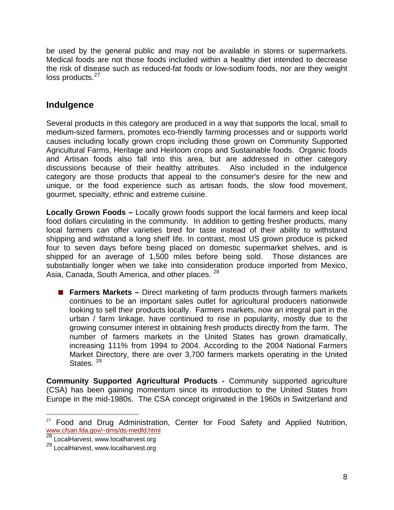be used by the general public and may not be available in stores or supermarkets. Medical foods are not those foods included within a healthy diet intended to decrease the risk of disease such as reduced-fat foods or low-sodium foods, nor are they weight  $loss$  products.  $27$ 

## **Indulgence**

Several products in this category are produced in a way that supports the local, small to medium-sized farmers, promotes eco-friendly farming processes and or supports world causes including locally grown crops including those grown on Community Supported Agricultural Farms, Heritage and Heirloom crops and Sustainable foods. Organic foods and Artisan foods also fall into this area, but are addressed in other category discussions because of their healthy attributes. Also included in the indulgence category are those products that appeal to the consumer's desire for the new and unique, or the food experience such as artisan foods, the slow food movement, gourmet, specialty, ethnic and extreme cuisine.

**Locally Grown Foods –** Locally grown foods support the local farmers and keep local food dollars circulating in the community. In addition to getting fresher products, many local farmers can offer varieties bred for taste instead of their ability to withstand shipping and withstand a long shelf life. In contrast, most US grown produce is picked four to seven days before being placed on domestic supermarket shelves, and is shipped for an average of 1,500 miles before being sold. Those distances are substantially longer when we take into consideration produce imported from Mexico, Asia, Canada, South America, and other places. <sup>[28](#page-9-1)</sup>

■ **Farmers Markets** – Direct marketing of farm products through farmers markets continues to be an important sales outlet for agricultural producers nationwide looking to sell their products locally. Farmers markets, now an integral part in the urban / farm linkage, have continued to rise in popularity, mostly due to the growing consumer interest in obtaining fresh products directly from the farm. The number of farmers markets in the United States has grown dramatically, increasing 111% from 1994 to 2004. According to the 2004 National Farmers Market Directory, there are over 3,700 farmers markets operating in the United States.<sup>[29](#page-9-2)</sup>

**Community Supported Agricultural Products -** Community supported agriculture (CSA) has been gaining momentum since its introduction to the United States from Europe in the mid-1980s. The CSA concept originated in the 1960s in Switzerland and

<span id="page-9-0"></span> $27$  Food and Drug Administration, Center for Food Safety and Applied Nutrition, [www.cfsan.fda.gov/~dms/ds-medfd.html](http://www.cfsan.fda.gov/%7Edms/ds-medfd.html)

<span id="page-9-1"></span><sup>28</sup> LocalHarvest, www.localharvest.org

<span id="page-9-2"></span><sup>29</sup> LocalHarvest, www.localharvest.org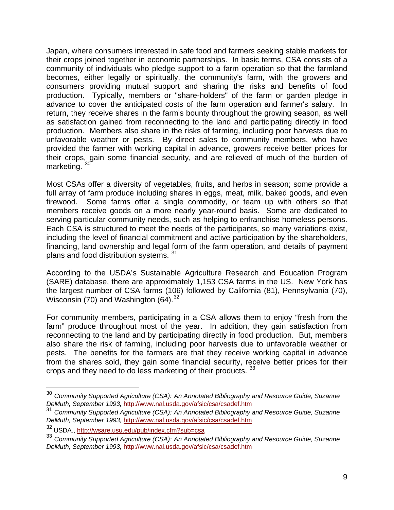Japan, where consumers interested in safe food and farmers seeking stable markets for their crops joined together in economic partnerships. In basic terms, CSA consists of a community of individuals who pledge support to a farm operation so that the farmland becomes, either legally or spiritually, the community's farm, with the growers and consumers providing mutual support and sharing the risks and benefits of food production. Typically, members or "share-holders" of the farm or garden pledge in advance to cover the anticipated costs of the farm operation and farmer's salary. In return, they receive shares in the farm's bounty throughout the growing season, as well as satisfaction gained from reconnecting to the land and participating directly in food production. Members also share in the risks of farming, including poor harvests due to unfavorable weather or pests. By direct sales to community members, who have provided the farmer with working capital in advance, growers receive better prices for their crops, gain some financial security, and are relieved of much of the burden of marketing.

Most CSAs offer a diversity of vegetables, fruits, and herbs in season; some provide a full array of farm produce including shares in eggs, meat, milk, baked goods, and even firewood. Some farms offer a single commodity, or team up with others so that members receive goods on a more nearly year-round basis. Some are dedicated to serving particular community needs, such as helping to enfranchise homeless persons. Each CSA is structured to meet the needs of the participants, so many variations exist, including the level of financial commitment and active participation by the shareholders, financing, land ownership and legal form of the farm operation, and details of payment plans and food distribution systems. <sup>[31](#page-10-1)</sup>

According to the USDA's Sustainable Agriculture Research and Education Program (SARE) database, there are approximately 1,153 CSA farms in the US. New York has the largest number of CSA farms (106) followed by California (81), Pennsylvania (70), Wisconsin (70) and Washington  $(64)$ .<sup>[32](#page-10-2)</sup>

For community members, participating in a CSA allows them to enjoy "fresh from the farm" produce throughout most of the year. In addition, they gain satisfaction from reconnecting to the land and by participating directly in food production. But, members also share the risk of farming, including poor harvests due to unfavorable weather or pests. The benefits for the farmers are that they receive working capital in advance from the shares sold, they gain some financial security, receive better prices for their crops and they need to do less marketing of their products. [33](#page-10-3)

<span id="page-10-0"></span><sup>30</sup> *Community Supported Agriculture (CSA): An Annotated Bibliography and Resource Guide, Suzanne DeMuth, September 1993,* <http://www.nal.usda.gov/afsic/csa/csadef.htm>

<span id="page-10-1"></span><sup>31</sup> *Community Supported Agriculture (CSA): An Annotated Bibliography and Resource Guide, Suzanne DeMuth, September 1993,* <http://www.nal.usda.gov/afsic/csa/csadef.htm>

<span id="page-10-2"></span><sup>32</sup> USDA., <http://wsare.usu.edu/pub/index.cfm?sub=csa>

<span id="page-10-3"></span><sup>33</sup> *Community Supported Agriculture (CSA): An Annotated Bibliography and Resource Guide, Suzanne DeMuth, September 1993,* <http://www.nal.usda.gov/afsic/csa/csadef.htm>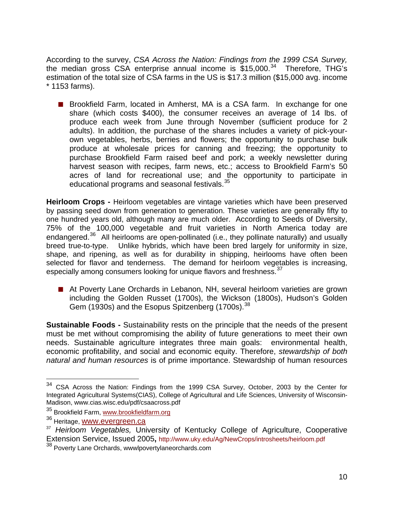According to the survey, *CSA Across the Nation: Findings from the 1999 CSA Survey,*  the median gross CSA enterprise annual income is  $$15,000.<sup>34</sup>$  $$15,000.<sup>34</sup>$  $$15,000.<sup>34</sup>$  Therefore, THG's estimation of the total size of CSA farms in the US is \$17.3 million (\$15,000 avg. income \* 1153 farms).

■ Brookfield Farm, located in Amherst, MA is a CSA farm. In exchange for one share (which costs \$400), the consumer receives an average of 14 lbs. of produce each week from June through November (sufficient produce for 2 adults). In addition, the purchase of the shares includes a variety of pick-yourown vegetables, herbs, berries and flowers; the opportunity to purchase bulk produce at wholesale prices for canning and freezing; the opportunity to purchase Brookfield Farm raised beef and pork; a weekly newsletter during harvest season with recipes, farm news, etc.; access to Brookfield Farm's 50 acres of land for recreational use; and the opportunity to participate in educational programs and seasonal festivals.<sup>[35](#page-11-1)</sup>

**Heirloom Crops -** Heirloom vegetables are vintage varieties which have been preserved by passing seed down from generation to generation. These varieties are generally fifty to one hundred years old, although many are much older. According to Seeds of Diversity, 75% of the 100,000 vegetable and fruit varieties in North America today are endangered.<sup>[36](#page-11-2)</sup> All heirlooms are open-pollinated (i.e., they pollinate naturally) and usually breed true-to-type. Unlike hybrids, which have been bred largely for uniformity in size, shape, and ripening, as well as for durability in shipping, heirlooms have often been selected for flavor and tenderness. The demand for heirloom vegetables is increasing, especially among consumers looking for unique flavors and freshness.<sup>[37](#page-11-3)</sup>

■ At Poverty Lane Orchards in Lebanon, NH, several heirloom varieties are grown including the Golden Russet (1700s), the Wickson (1800s), Hudson's Golden Gem (1930s) and the Esopus Spitzenberg (1700s).<sup>[38](#page-11-4)</sup>

**Sustainable Foods -** Sustainability rests on the principle that the needs of the present must be met without compromising the ability of future generations to meet their own needs. Sustainable agriculture integrates three main goals: environmental health, economic profitability, and social and economic equity. Therefore, *stewardship of both natural and human resources* is of prime importance. Stewardship of human resources

<span id="page-11-0"></span><sup>34</sup> <sup>34</sup> CSA Across the Nation: Findings from the 1999 CSA Survey, October, 2003 by the Center for Integrated Agricultural Systems(CIAS), College of Agricultural and Life Sciences, University of Wisconsin-Madison, www.cias.wisc.edu/pdf/csaacross.pdf

<span id="page-11-1"></span><sup>&</sup>lt;sup>35</sup> Brookfield Farm, [www.brookfieldfarm.org](http://www.brookfieldfarm.org/)

<sup>&</sup>lt;sup>36</sup> Heritage, **www.evergreen.ca** 

<span id="page-11-3"></span><span id="page-11-2"></span><sup>37</sup> *Heirloom Vegetables,* University of Kentucky College of Agriculture, Cooperative Extension Service, Issued 2005**,** <http://www.uky.edu/Ag/NewCrops/introsheets/heirloom.pdf>

<span id="page-11-4"></span><sup>&</sup>lt;sup>38</sup> Poverty Lane Orchards, wwwlpovertylaneorchards.com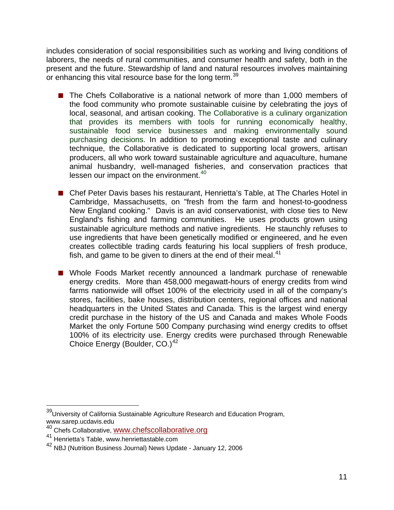includes consideration of social responsibilities such as working and living conditions of laborers, the needs of rural communities, and consumer health and safety, both in the present and the future. Stewardship of land and natural resources involves maintaining or enhancing this vital resource base for the long term.<sup>[39](#page-12-0)</sup>

- The Chefs Collaborative is a national network of more than 1,000 members of the food community who promote sustainable cuisine by celebrating the joys of local, seasonal, and artisan cooking. The Collaborative is a culinary organization that provides its members with tools for running economically healthy, sustainable food service businesses and making environmentally sound purchasing decisions. In addition to promoting exceptional taste and culinary technique, the Collaborative is dedicated to supporting local growers, artisan producers, all who work toward sustainable agriculture and aquaculture, humane animal husbandry, well-managed fisheries, and conservation practices that lessen our impact on the environment.<sup>[40](#page-12-1)</sup>
- Chef Peter Davis bases his restaurant, Henrietta's Table, at The Charles Hotel in Cambridge, Massachusetts, on "fresh from the farm and honest-to-goodness New England cooking." Davis is an avid conservationist, with close ties to New England's fishing and farming communities. He uses products grown using sustainable agriculture methods and native ingredients. He staunchly refuses to use ingredients that have been genetically modified or engineered, and he even creates collectible trading cards featuring his local suppliers of fresh produce, fish, and game to be given to diners at the end of their meal. $41$
- Whole Foods Market recently announced a landmark purchase of renewable energy credits. More than 458,000 megawatt-hours of energy credits from wind farms nationwide will offset 100% of the electricity used in all of the company's stores, facilities, bake houses, distribution centers, regional offices and national headquarters in the United States and Canada. This is the largest wind energy credit purchase in the history of the US and Canada and makes Whole Foods Market the only Fortune 500 Company purchasing wind energy credits to offset 100% of its electricity use. Energy credits were purchased through Renewable Choice Energy (Boulder, CO.)<sup>[42](#page-12-3)</sup>

<span id="page-12-0"></span><sup>&</sup>lt;sup>39</sup>University of California Sustainable Agriculture Research and Education Program, www.sarep.ucdavis.edu

<span id="page-12-1"></span><sup>40</sup> Chefs Collaborative, [www.chefscollaborative.org](http://www.chefscollaborative.org/)

<span id="page-12-2"></span><sup>&</sup>lt;sup>41</sup> Henrietta's Table, www.henriettastable.com

<span id="page-12-3"></span><sup>42</sup> NBJ (Nutrition Business Journal) News Update - January 12, 2006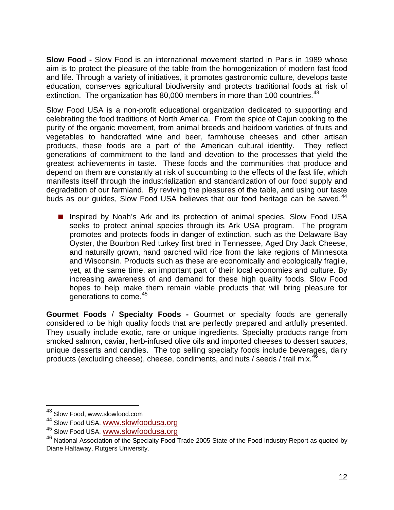**Slow Food -** Slow Food is an international movement started in Paris in 1989 whose aim is to protect the pleasure of the table from the homogenization of modern fast food and life. Through a variety of initiatives, it promotes gastronomic culture, develops taste education, conserves agricultural biodiversity and protects traditional foods at risk of extinction. The organization has  $80,000$  members in more than 100 countries.<sup>[43](#page-13-0)</sup>

Slow Food USA is a non-profit educational organization dedicated to supporting and celebrating the food traditions of North America. From the spice of Cajun cooking to the purity of the organic movement, from animal breeds and heirloom varieties of fruits and vegetables to handcrafted wine and beer, farmhouse cheeses and other artisan products, these foods are a part of the American cultural identity. They reflect generations of commitment to the land and devotion to the processes that yield the greatest achievements in taste. These foods and the communities that produce and depend on them are constantly at risk of succumbing to the effects of the fast life, which manifests itself through the industrialization and standardization of our food supply and degradation of our farmland. By reviving the pleasures of the table, and using our taste buds as our quides, Slow Food USA believes that our food heritage can be saved.<sup>[44](#page-13-1)</sup>

■ Inspired by Noah's Ark and its protection of animal species, Slow Food USA seeks to protect animal species through its Ark USA program. The program promotes and protects foods in danger of extinction, such as the Delaware Bay Oyster, the Bourbon Red turkey first bred in Tennessee, Aged Dry Jack Cheese, and naturally grown, hand parched wild rice from the lake regions of Minnesota and Wisconsin. Products such as these are economically and ecologically fragile, yet, at the same time, an important part of their local economies and culture. By increasing awareness of and demand for these high quality foods, Slow Food hopes to help make them remain viable products that will bring pleasure for generations to come.<sup>[45](#page-13-2)</sup>

**Gourmet Foods** / **Specialty Foods -** Gourmet or specialty foods are generally considered to be high quality foods that are perfectly prepared and artfully presented. They usually include exotic, rare or unique ingredients. Specialty products range from smoked salmon, caviar, herb-infused olive oils and imported cheeses to dessert sauces, unique desserts and candies. The top selling specialty foods include beverages, dairy products (excluding cheese), cheese, condiments, and nuts / seeds / trail mix.<sup>[46](#page-13-3)</sup>

<sup>&</sup>lt;sup>43</sup> Slow Food, www.slowfood.com

<span id="page-13-1"></span><span id="page-13-0"></span><sup>44</sup> Slow Food USA, [www.slowfoodusa.org](http://www.slowfoodusa.org/)

<span id="page-13-2"></span><sup>45</sup> Slow Food USA, [www.slowfoodusa.org](http://www.slowfoodusa.org/)

<span id="page-13-3"></span><sup>&</sup>lt;sup>46</sup> National Association of the Specialty Food Trade 2005 State of the Food Industry Report as quoted by Diane Haltaway, Rutgers University.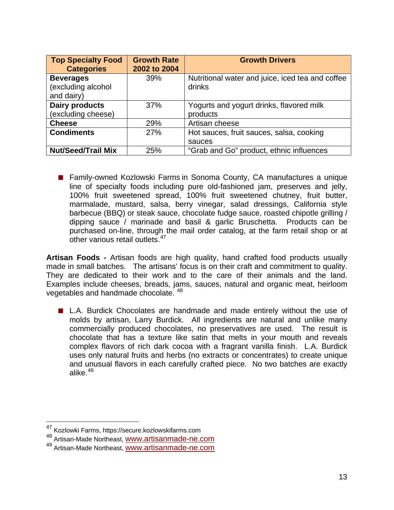| <b>Top Specialty Food</b><br><b>Categories</b>       | <b>Growth Rate</b><br>2002 to 2004 | <b>Growth Drivers</b>                                      |
|------------------------------------------------------|------------------------------------|------------------------------------------------------------|
| <b>Beverages</b><br>(excluding alcohol<br>and dairy) | 39%                                | Nutritional water and juice, iced tea and coffee<br>drinks |
| <b>Dairy products</b><br>(excluding cheese)          | 37%                                | Yogurts and yogurt drinks, flavored milk<br>products       |
| <b>Cheese</b>                                        | 29%                                | Artisan cheese                                             |
| <b>Condiments</b>                                    | 27%                                | Hot sauces, fruit sauces, salsa, cooking<br>sauces         |
| <b>Nut/Seed/Trail Mix</b>                            | 25%                                | "Grab and Go" product, ethnic influences                   |

■ Family-owned Kozlowski Farms in Sonoma County, CA manufactures a unique line of specialty foods including pure old-fashioned jam, preserves and jelly, 100% fruit sweetened spread, 100% fruit sweetened chutney, fruit butter, marmalade, mustard, salsa, berry vinegar, salad dressings, California style barbecue (BBQ) or steak sauce, chocolate fudge sauce, roasted chipotle grilling / dipping sauce / marinade and basil & garlic Bruschetta. Products can be purchased on-line, through the mail order catalog, at the farm retail shop or at other various retail outlets. $47$ 

**Artisan Foods -** Artisan foods are high quality, hand crafted food products usually made in small batches. The artisans' focus is on their craft and commitment to quality. They are dedicated to their work and to the care of their animals and the land. Examples include cheeses, breads, jams, sauces, natural and organic meat, heirloom vegetables and handmade chocolate. [48](#page-14-1)

 L.A. Burdick Chocolates are handmade and made entirely without the use of molds by artisan, Larry Burdick. All ingredients are natural and unlike many commercially produced chocolates, no preservatives are used. The result is chocolate that has a texture like satin that melts in your mouth and reveals complex flavors of rich dark cocoa with a fragrant vanilla finish. L.A. Burdick uses only natural fruits and herbs (no extracts or concentrates) to create unique and unusual flavors in each carefully crafted piece. No two batches are exactly alike. $49$ 

<span id="page-14-0"></span><sup>&</sup>lt;sup>47</sup> Kozlowki Farms, https://secure.kozlowskifarms.com

<span id="page-14-1"></span><sup>&</sup>lt;sup>48</sup> Artisan-Made Northeast, [www.artisanmade-ne.com](http://www.artisanmade-ne.com/)

<span id="page-14-2"></span><sup>49</sup> Artisan-Made Northeast, [www.artisanmade-ne.com](http://www.artisanmade-ne.com/)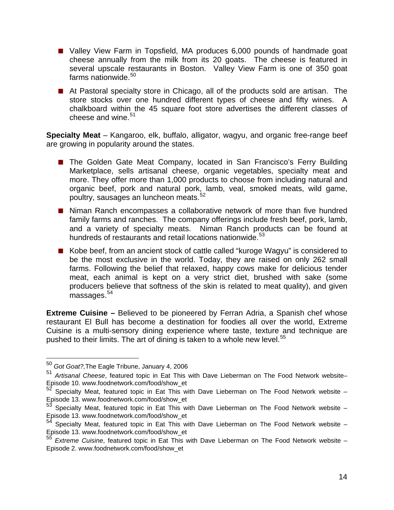- Valley View Farm in Topsfield, MA produces 6,000 pounds of handmade goat cheese annually from the milk from its 20 goats. The cheese is featured in several upscale restaurants in Boston. Valley View Farm is one of 350 goat farms nationwide.<sup>[50](#page-15-0)</sup>
- At Pastoral specialty store in Chicago, all of the products sold are artisan. The store stocks over one hundred different types of cheese and fifty wines. A chalkboard within the 45 square foot store advertises the different classes of cheese and wine. $51$

**Specialty Meat** – Kangaroo, elk, buffalo, alligator, wagyu, and organic free-range beef are growing in popularity around the states.

- The Golden Gate Meat Company, located in San Francisco's Ferry Building Marketplace, sells artisanal cheese, organic vegetables, specialty meat and more. They offer more than 1,000 products to choose from including natural and organic beef, pork and natural pork, lamb, veal, smoked meats, wild game, poultry, sausages an luncheon meats.<sup>[52](#page-15-2)</sup>
- Niman Ranch encompasses a collaborative network of more than five hundred family farms and ranches. The company offerings include fresh beef, pork, lamb, and a variety of specialty meats. Niman Ranch products can be found at hundreds of restaurants and retail locations nationwide.<sup>[53](#page-15-3)</sup>
- Kobe beef, from an ancient stock of cattle called "kuroge Wagyu" is considered to be the most exclusive in the world. Today, they are raised on only 262 small farms. Following the belief that relaxed, happy cows make for delicious tender meat, each animal is kept on a very strict diet, brushed with sake (some producers believe that softness of the skin is related to meat quality), and given  $massa$ ges.  $54$

**Extreme Cuisine –** Believed to be pioneered by Ferran Adria, a Spanish chef whose restaurant El Bull has become a destination for foodies all over the world, Extreme Cuisine is a multi-sensory dining experience where taste, texture and technique are pushed to their limits. The art of dining is taken to a whole new level.<sup>[55](#page-15-5)</sup>

<sup>50</sup> *Got Goat?,*The Eagle Tribune, January 4, 2006

<span id="page-15-1"></span><span id="page-15-0"></span><sup>51</sup> *Artisanal Cheese*, featured topic in Eat This with Dave Lieberman on The Food Network website– Episode 10. www.foodnetwork.com/food/show\_et

<span id="page-15-2"></span>Specialty Meat, featured topic in Eat This with Dave Lieberman on The Food Network website – Episode 13. www.foodnetwork.com/food/show\_et

<span id="page-15-3"></span>Specialty Meat, featured topic in Eat This with Dave Lieberman on The Food Network website -Episode 13. www.foodnetwork.com/food/show\_et

<span id="page-15-4"></span>Specialty Meat, featured topic in Eat This with Dave Lieberman on The Food Network website – Episode 13. www.foodnetwork.com/food/show\_et

<span id="page-15-5"></span><sup>55</sup> *Extreme Cuisine*, featured topic in Eat This with Dave Lieberman on The Food Network website – Episode 2. www.foodnetwork.com/food/show\_et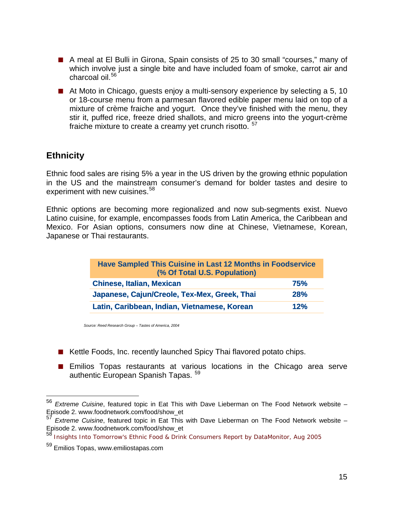- A meal at El Bulli in Girona, Spain consists of 25 to 30 small "courses," many of which involve just a single bite and have included foam of smoke, carrot air and charcoal oil.<sup>[56](#page-16-0)</sup>
- At Moto in Chicago, guests enjoy a multi-sensory experience by selecting a 5, 10 or 18-course menu from a parmesan flavored edible paper menu laid on top of a mixture of crème fraiche and yogurt. Once they've finished with the menu, they stir it, puffed rice, freeze dried shallots, and micro greens into the yogurt-crème fraiche mixture to create a creamy yet crunch risotto.<sup>[57](#page-16-1)</sup>

## **Ethnicity**

 $\overline{a}$ 

Ethnic food sales are rising 5% a year in the US driven by the growing ethnic population in the US and the mainstream consumer's demand for bolder tastes and desire to experiment with new cuisines.<sup>[58](#page-16-2)</sup>

Ethnic options are becoming more regionalized and now sub-segments exist. Nuevo Latino cuisine, for example, encompasses foods from Latin America, the Caribbean and Mexico. For Asian options, consumers now dine at Chinese, Vietnamese, Korean, Japanese or Thai restaurants.

| Have Sampled This Cuisine in Last 12 Months in Foodservice<br>(% Of Total U.S. Population) |            |  |
|--------------------------------------------------------------------------------------------|------------|--|
| <b>Chinese, Italian, Mexican</b>                                                           | <b>75%</b> |  |
| Japanese, Cajun/Creole, Tex-Mex, Greek, Thai                                               | 28%        |  |
| Latin, Caribbean, Indian, Vietnamese, Korean<br>12%                                        |            |  |

*Source: Reed Research Group – Tastes of America, 2004*

- Kettle Foods, Inc. recently launched Spicy Thai flavored potato chips.
- **Emilios Topas restaurants at various locations in the Chicago area serve** authentic European Spanish Tapas. <sup>[59](#page-16-3)</sup>

<span id="page-16-0"></span><sup>56</sup> *Extreme Cuisine*, featured topic in Eat This with Dave Lieberman on The Food Network website – Episode 2. www.foodnetwork.com/food/show\_et

<span id="page-16-1"></span><sup>57</sup> *Extreme Cuisine*, featured topic in Eat This with Dave Lieberman on The Food Network website – Episode 2. www.foodnetwork.com/food/show\_et

<span id="page-16-2"></span><sup>58</sup> Insights Into Tomorrow's Ethnic Food & Drink Consumers Report by DataMonitor, Aug 2005

<span id="page-16-3"></span><sup>59</sup> Emilios Topas, www.emiliostapas.com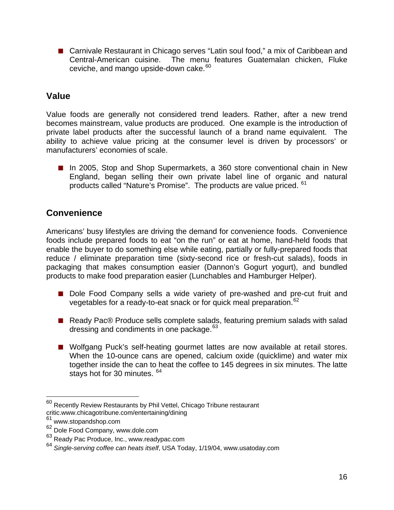■ Carnivale Restaurant in Chicago serves "Latin soul food," a mix of Caribbean and Central-American cuisine. The menu features Guatemalan chicken, Fluke ceviche, and mango upside-down cake.<sup>[60](#page-17-0)</sup>

## **Value**

Value foods are generally not considered trend leaders. Rather, after a new trend becomes mainstream, value products are produced. One example is the introduction of private label products after the successful launch of a brand name equivalent. The ability to achieve value pricing at the consumer level is driven by processors' or manufacturers' economies of scale.

■ In 2005, Stop and Shop Supermarkets, a 360 store conventional chain in New England, began selling their own private label line of organic and natural products called "Nature's Promise". The products are value priced. [61](#page-17-1)

## **Convenience**

Americans' busy lifestyles are driving the demand for convenience foods. Convenience foods include prepared foods to eat "on the run" or eat at home, hand-held foods that enable the buyer to do something else while eating, partially or fully-prepared foods that reduce / eliminate preparation time (sixty-second rice or fresh-cut salads), foods in packaging that makes consumption easier (Dannon's Gogurt yogurt), and bundled products to make food preparation easier (Lunchables and Hamburger Helper).

- Dole Food Company sells a wide variety of pre-washed and pre-cut fruit and vegetables for a ready-to-eat snack or for quick meal preparation.<sup>[62](#page-17-2)</sup>
- Ready Pac® Produce sells complete salads, featuring premium salads with salad dressing and condiments in one package.<sup>[63](#page-17-3)</sup>
- Wolfgang Puck's self-heating gourmet lattes are now available at retail stores. When the 10-ounce cans are opened, calcium oxide (quicklime) and water mix together inside the can to heat the coffee to 145 degrees in six minutes. The latte stays hot for 30 minutes. [64](#page-17-4)

<span id="page-17-0"></span> $60$  Recently Review Restaurants by Phil Vettel, Chicago Tribune restaurant critic.www.chicagotribune.com/entertaining/dining

<span id="page-17-1"></span> $61$  www.stopandshop.com

<span id="page-17-2"></span><sup>62</sup> Dole Food Company, www.dole.com

<span id="page-17-3"></span><sup>63</sup> Ready Pac Produce, Inc., www.readypac.com

<span id="page-17-4"></span><sup>64</sup> *Single-serving coffee can heats itself*, USA Today, 1/19/04, www.usatoday.com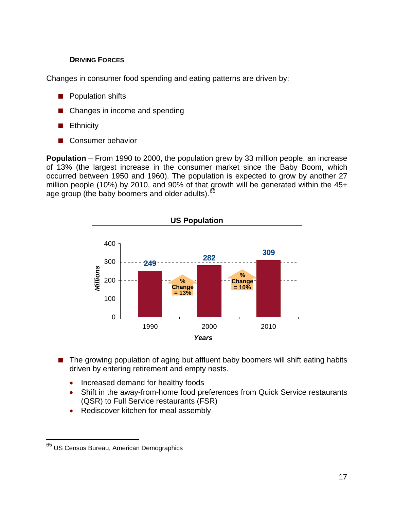### **DRIVING FORCES**

Changes in consumer food spending and eating patterns are driven by:

- **Population shifts**
- Changes in income and spending
- **Ethnicity**
- Consumer behavior

**Population** – From 1990 to 2000, the population grew by 33 million people, an increase of 13% (the largest increase in the consumer market since the Baby Boom, which occurred between 1950 and 1960). The population is expected to grow by another 27 million people (10%) by 2010, and 90% of that growth will be generated within the 45+ age group (the baby boomers and older adults).<sup>[65](#page-18-0)</sup>



- The growing population of aging but affluent baby boomers will shift eating habits driven by entering retirement and empty nests.
	- Increased demand for healthy foods
	- Shift in the away-from-home food preferences from Quick Service restaurants (QSR) to Full Service restaurants (FSR)
	- Rediscover kitchen for meal assembly

<span id="page-18-0"></span><sup>&</sup>lt;sup>65</sup> US Census Bureau, American Demographics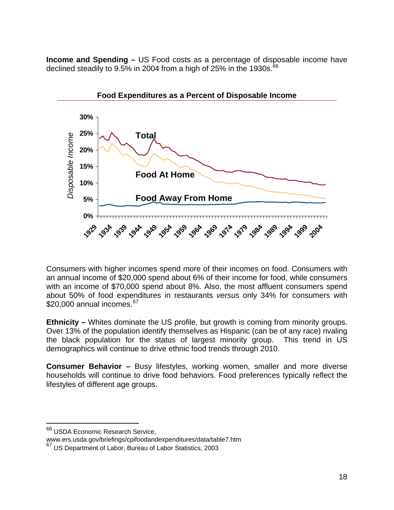**Income and Spending –** US Food costs as a percentage of disposable income have declined steadily to 9.5% in 2004 from a high of  $25%$  in the 1930s.  $66$ 



Consumers with higher incomes spend more of their incomes on food. Consumers with an annual income of \$20,000 spend about 6% of their income for food, while consumers with an income of \$70,000 spend about 8%. Also, the most affluent consumers spend about 50% of food expenditures in restaurants *versus* only 34% for consumers with  $$20,000$  annual incomes.  $^{67}$  $^{67}$  $^{67}$ 

**Ethnicity –** Whites dominate the US profile, but growth is coming from minority groups. Over 13% of the population identify themselves as Hispanic (can be of any race) rivaling the black population for the status of largest minority group. This trend in US demographics will continue to drive ethnic food trends through 2010.

**Consumer Behavior –** Busy lifestyles, working women, smaller and more diverse households will continue to drive food behaviors. Food preferences typically reflect the lifestyles of different age groups.

<span id="page-19-0"></span><sup>&</sup>lt;sup>66</sup> USDA Economic Research Service,

www.ers.usda.gov/briefings/cpifoodandexpenditures/data/table7.htm

<span id="page-19-1"></span><sup>67</sup> US Department of Labor, Bureau of Labor Statistics, 2003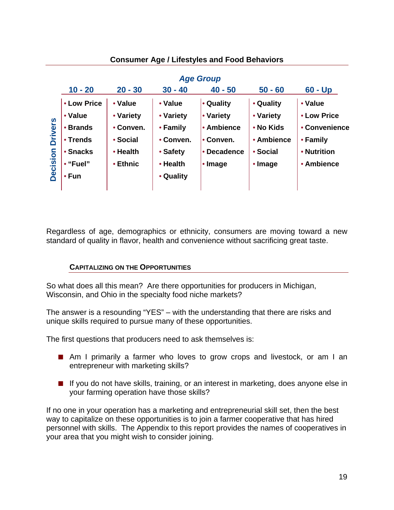|                            |              |           |           | <b>Age Group</b> |            |               |
|----------------------------|--------------|-----------|-----------|------------------|------------|---------------|
|                            | $10 - 20$    | $20 - 30$ | $30 - 40$ | $40 - 50$        | $50 - 60$  | $60 - Up$     |
| <b>Drivers</b><br>Decision | • Low Price  | • Value   | • Value   | • Quality        | • Quality  | • Value       |
|                            | • Value      | • Variety | • Variety | • Variety        | • Variety  | • Low Price   |
|                            | • Brands     | • Conven. | • Family  | • Ambience       | • No Kids  | • Convenience |
|                            | • Trends     | • Social  | • Conven. | • Conven.        | • Ambience | • Family      |
|                            | • Snacks     | • Health  | • Safety  | • Decadence      | • Social   | • Nutrition   |
|                            | • "Fuel"     | • Ethnic  | • Health  | • Image          | • Image    | • Ambience    |
|                            | • <b>Fun</b> |           | • Quality |                  |            |               |
|                            |              |           |           |                  |            |               |

**Consumer Age / Lifestyles and Food Behaviors** 

Regardless of age, demographics or ethnicity, consumers are moving toward a new standard of quality in flavor, health and convenience without sacrificing great taste.

### **CAPITALIZING ON THE OPPORTUNITIES**

So what does all this mean? Are there opportunities for producers in Michigan, Wisconsin, and Ohio in the specialty food niche markets?

The answer is a resounding "YES" – with the understanding that there are risks and unique skills required to pursue many of these opportunities.

The first questions that producers need to ask themselves is:

- Am I primarily a farmer who loves to grow crops and livestock, or am I an entrepreneur with marketing skills?
- **If** you do not have skills, training, or an interest in marketing, does anyone else in your farming operation have those skills?

If no one in your operation has a marketing and entrepreneurial skill set, then the best way to capitalize on these opportunities is to join a farmer cooperative that has hired personnel with skills. The Appendix to this report provides the names of cooperatives in your area that you might wish to consider joining.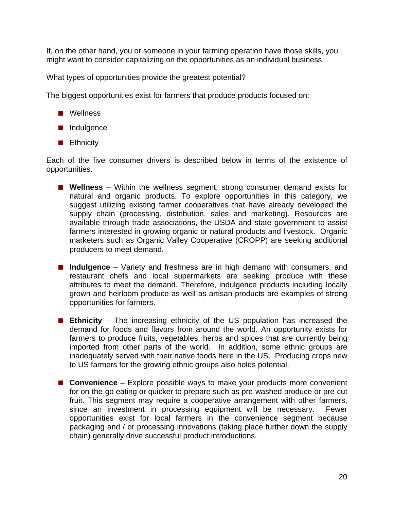If, on the other hand, you or someone in your farming operation have those skills, you might want to consider capitalizing on the opportunities as an individual business.

What types of opportunities provide the greatest potential?

The biggest opportunities exist for farmers that produce products focused on:

- **Nellness**
- Indulgence
- **Ethnicity**

Each of the five consumer drivers is described below in terms of the existence of opportunities.

- **Wellness** Within the wellness segment, strong consumer demand exists for natural and organic products. To explore opportunities in this category, we suggest utilizing existing farmer cooperatives that have already developed the supply chain (processing, distribution, sales and marketing). Resources are available through trade associations, the USDA and state government to assist farmers interested in growing organic or natural products and livestock. Organic marketers such as Organic Valley Cooperative (CROPP) are seeking additional producers to meet demand.
- Indulgence Variety and freshness are in high demand with consumers, and restaurant chefs and local supermarkets are seeking produce with these attributes to meet the demand. Therefore, indulgence products including locally grown and heirloom produce as well as artisan products are examples of strong opportunities for farmers.
- **Ethnicity**  The increasing ethnicity of the US population has increased the demand for foods and flavors from around the world. An opportunity exists for farmers to produce fruits, vegetables, herbs and spices that are currently being imported from other parts of the world. In addition, some ethnic groups are inadequately served with their native foods here in the US. Producing crops new to US farmers for the growing ethnic groups also holds potential.
- **Convenience** Explore possible ways to make your products more convenient for on-the-go eating or quicker to prepare such as pre-washed produce or pre-cut fruit. This segment may require a cooperative arrangement with other farmers, since an investment in processing equipment will be necessary. Fewer opportunities exist for local farmers in the convenience segment because packaging and / or processing innovations (taking place further down the supply chain) generally drive successful product introductions.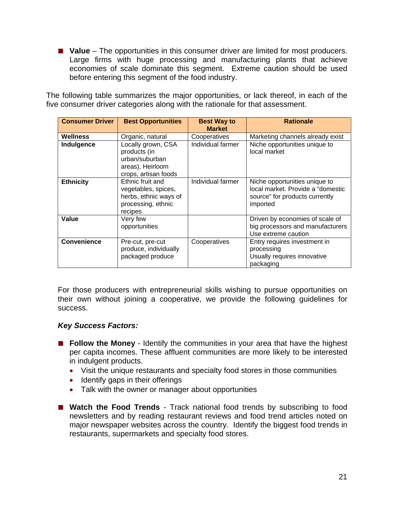**Value** – The opportunities in this consumer driver are limited for most producers. Large firms with huge processing and manufacturing plants that achieve economies of scale dominate this segment. Extreme caution should be used before entering this segment of the food industry.

The following table summarizes the major opportunities, or lack thereof, in each of the five consumer driver categories along with the rationale for that assessment.

| <b>Consumer Driver</b> | <b>Best Opportunities</b>                                                                         | <b>Best Way to</b><br><b>Market</b> | <b>Rationale</b>                                                                                                 |
|------------------------|---------------------------------------------------------------------------------------------------|-------------------------------------|------------------------------------------------------------------------------------------------------------------|
| Wellness               | Organic, natural                                                                                  | Cooperatives                        | Marketing channels already exist                                                                                 |
| Indulgence             | Locally grown, CSA<br>products (in<br>urban/suburban<br>areas), Heirloom<br>crops, artisan foods  | Individual farmer                   | Niche opportunities unique to<br>local market                                                                    |
| <b>Ethnicity</b>       | Ethnic fruit and<br>vegetables, spices,<br>herbs, ethnic ways of<br>processing, ethnic<br>recipes | Individual farmer                   | Niche opportunities unique to<br>local market. Provide a "domestic<br>source" for products currently<br>imported |
| Value                  | Very few<br>opportunities                                                                         |                                     | Driven by economies of scale of<br>big processors and manufacturers<br>Use extreme caution                       |
| <b>Convenience</b>     | Pre-cut, pre-cut<br>produce, individually<br>packaged produce                                     | Cooperatives                        | Entry requires investment in<br>processing<br>Usually requires innovative<br>packaging                           |

For those producers with entrepreneurial skills wishing to pursue opportunities on their own without joining a cooperative, we provide the following guidelines for success.

#### *Key Success Factors:*

- **Follow the Money** Identify the communities in your area that have the highest per capita incomes. These affluent communities are more likely to be interested in indulgent products.
	- Visit the unique restaurants and specialty food stores in those communities
	- Identify gaps in their offerings
	- Talk with the owner or manager about opportunities
- Watch the Food Trends Track national food trends by subscribing to food newsletters and by reading restaurant reviews and food trend articles noted on major newspaper websites across the country. Identify the biggest food trends in restaurants, supermarkets and specialty food stores.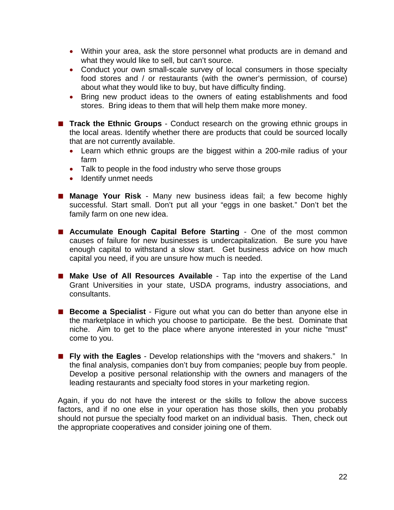- Within your area, ask the store personnel what products are in demand and what they would like to sell, but can't source.
- Conduct your own small-scale survey of local consumers in those specialty food stores and / or restaurants (with the owner's permission, of course) about what they would like to buy, but have difficulty finding.
- Bring new product ideas to the owners of eating establishments and food stores. Bring ideas to them that will help them make more money.
- **Track the Ethnic Groups** Conduct research on the growing ethnic groups in the local areas. Identify whether there are products that could be sourced locally that are not currently available.
	- Learn which ethnic groups are the biggest within a 200-mile radius of your farm
	- Talk to people in the food industry who serve those groups
	- Identify unmet needs
- **Manage Your Risk** Many new business ideas fail; a few become highly successful. Start small. Don't put all your "eggs in one basket." Don't bet the family farm on one new idea.
- **Accumulate Enough Capital Before Starting** One of the most common causes of failure for new businesses is undercapitalization. Be sure you have enough capital to withstand a slow start. Get business advice on how much capital you need, if you are unsure how much is needed.
- **Make Use of All Resources Available**  Tap into the expertise of the Land Grant Universities in your state, USDA programs, industry associations, and consultants.
- **Become a Specialist** Figure out what you can do better than anyone else in the marketplace in which you choose to participate. Be the best. Dominate that niche. Aim to get to the place where anyone interested in your niche "must" come to you.
- **Fly with the Eagles**  Develop relationships with the "movers and shakers." In the final analysis, companies don't buy from companies; people buy from people. Develop a positive personal relationship with the owners and managers of the leading restaurants and specialty food stores in your marketing region.

Again, if you do not have the interest or the skills to follow the above success factors, and if no one else in your operation has those skills, then you probably should not pursue the specialty food market on an individual basis. Then, check out the appropriate cooperatives and consider joining one of them.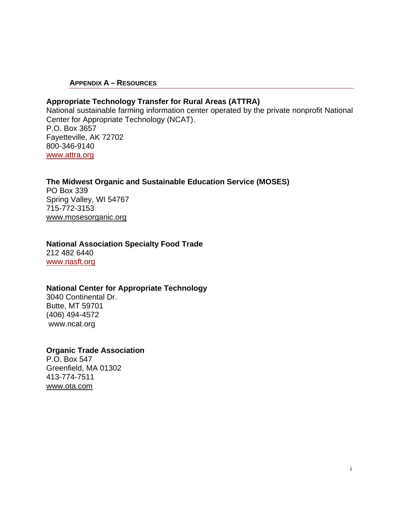#### **APPENDIX A – RESOURCES**

#### **Appropriate Technology Transfer for Rural Areas (ATTRA)**

National sustainable farming information center operated by the private nonprofit National Center for Appropriate Technology (NCAT). P.O. Box 3657 Fayetteville, AK 72702 800-346-9140 [www.attra.org](http://www.attra.org/)

#### **[The Midwest Organic and Sustainable Education Service](http://www.mosesorganic.org/mosesgeneral/aboutmoses.htm) (MOSES)**

PO Box 339 Spring Valley, WI 54767 715-772-3153 [www.mosesorganic.org](http://www.mosesorganic.org/index.html) 

#### **National Association Specialty Food Trade**  212 482 6440

[www.nasft.org](http://www.nasft.org/)

#### **National Center for Appropriate Technology**

3040 Continental Dr. Butte, MT 59701 (406) 494-4572 www.ncat.org

#### **Organic Trade Association**

P.O. Box 547 Greenfield, MA 01302 413-774-7511 [www.ota.com](http://www.ota.com/)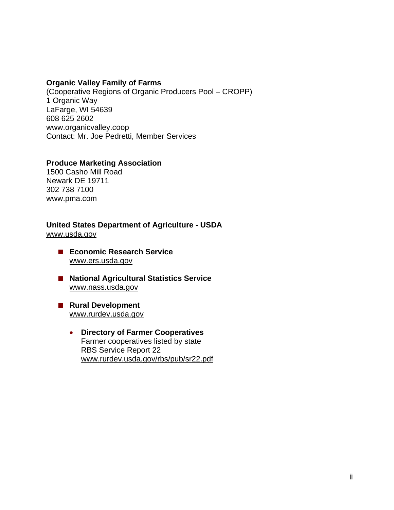#### **Organic Valley Family of Farms**

(Cooperative Regions of Organic Producers Pool – CROPP) 1 Organic Way LaFarge, WI 54639 608 625 2602 [www.organicvalley.coop](http://www.organicvalley.coop/) Contact: Mr. Joe Pedretti, Member Services

#### **Produce Marketing Association**

1500 Casho Mill Road Newark DE 19711 302 738 7100 www.pma.com

#### **United States Department of Agriculture - USDA**  [www.usda.gov](http://www.usda.gov/)

- **ECONOMIC Research Service** [www.ers.usda.gov](http://www.ers.usda.gov/)
- National Agricultural Statistics Service [www.nass.usda.gov](http://www.nass.usda.gov/)
- **Rural Development** [www.rurdev.usda.gov](http://www.rurdev.usda.gov/)
	- **Directory of Farmer Cooperatives**  Farmer cooperatives listed by state RBS Service Report 22 [www.rurdev.usda.gov/rbs/pub/sr22.pdf](http://www.rurdev.usda.gov/rbs/pub/sr22.pdf)